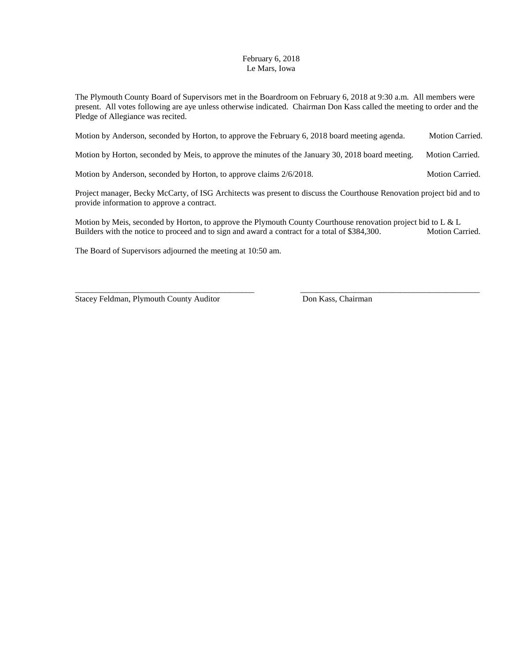## February 6, 2018 Le Mars, Iowa

The Plymouth County Board of Supervisors met in the Boardroom on February 6, 2018 at 9:30 a.m. All members were present. All votes following are aye unless otherwise indicated. Chairman Don Kass called the meeting to order and the Pledge of Allegiance was recited.

Motion by Anderson, seconded by Horton, to approve the February 6, 2018 board meeting agenda. Motion Carried.

Motion by Horton, seconded by Meis, to approve the minutes of the January 30, 2018 board meeting. Motion Carried.

Motion by Anderson, seconded by Horton, to approve claims  $2/6/2018$ . Motion Carried.

Project manager, Becky McCarty, of ISG Architects was present to discuss the Courthouse Renovation project bid and to provide information to approve a contract.

Motion by Meis, seconded by Horton, to approve the Plymouth County Courthouse renovation project bid to L & L Builders with the notice to proceed and to sign and award a contract for a total of \$384,300. Motion Carried.

\_\_\_\_\_\_\_\_\_\_\_\_\_\_\_\_\_\_\_\_\_\_\_\_\_\_\_\_\_\_\_\_\_\_\_\_\_\_\_\_\_\_\_ \_\_\_\_\_\_\_\_\_\_\_\_\_\_\_\_\_\_\_\_\_\_\_\_\_\_\_\_\_\_\_\_\_\_\_\_\_\_\_\_\_\_\_

The Board of Supervisors adjourned the meeting at 10:50 am.

Stacey Feldman, Plymouth County Auditor Don Kass, Chairman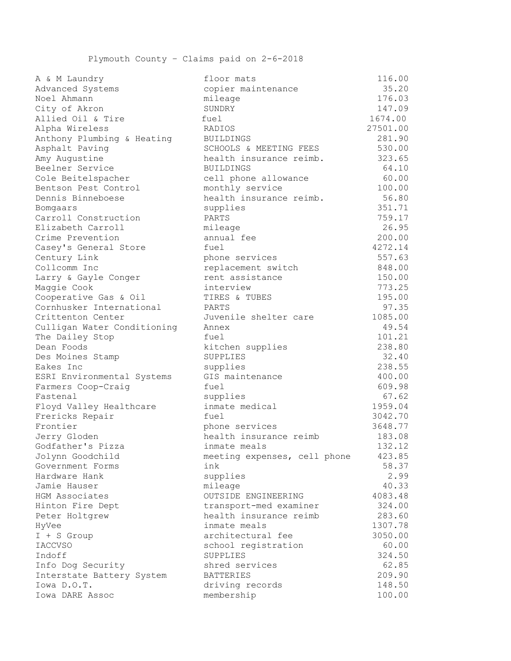Plymouth County – Claims paid on 2-6-2018

| A & M Laundry               | Iloor mats                   | TTO' ON  |
|-----------------------------|------------------------------|----------|
| Advanced Systems            | copier maintenance           | 35.20    |
| Noel Ahmann                 | mileage                      | 176.03   |
| City of Akron               | SUNDRY                       | 147.09   |
| Allied Oil & Tire           | fuel                         | 1674.00  |
| Alpha Wireless              | RADIOS                       | 27501.00 |
| Anthony Plumbing & Heating  | <b>BUILDINGS</b>             | 281.90   |
| Asphalt Paving              | SCHOOLS & MEETING FEES       | 530.00   |
| Amy Augustine               | health insurance reimb.      | 323.65   |
| Beelner Service             | <b>BUILDINGS</b>             | 64.10    |
| Cole Beitelspacher          | cell phone allowance         | 60.00    |
| Bentson Pest Control        | monthly service              | 100.00   |
| Dennis Binneboese           | health insurance reimb.      | 56.80    |
| Bomgaars                    | supplies                     | 351.71   |
| Carroll Construction        | PARTS                        | 759.17   |
| Elizabeth Carroll           | mileage                      | 26.95    |
| Crime Prevention            | annual fee                   | 200.00   |
| Casey's General Store       | fuel                         | 4272.14  |
| Century Link                | phone services               | 557.63   |
| Collcomm Inc                | replacement switch           | 848.00   |
| Larry & Gayle Conger        | rent assistance              | 150.00   |
| Maggie Cook                 | interview                    | 773.25   |
| Cooperative Gas & Oil       | TIRES & TUBES                | 195.00   |
| Cornhusker International    | PARTS                        | 97.35    |
| Crittenton Center           | Juvenile shelter care        | 1085.00  |
| Culligan Water Conditioning | Annex                        | 49.54    |
| The Dailey Stop             | fuel                         | 101.21   |
| Dean Foods                  | kitchen supplies             | 238.80   |
| Des Moines Stamp            | SUPPLIES                     | 32.40    |
| Eakes Inc                   | supplies                     | 238.55   |
| ESRI Environmental Systems  | GIS maintenance              | 400.00   |
| Farmers Coop-Craig          | fuel                         | 609.98   |
| Fastenal                    | supplies                     | 67.62    |
| Floyd Valley Healthcare     | inmate medical               | 1959.04  |
| Frericks Repair             | fuel                         | 3042.70  |
| Frontier                    | phone services               | 3648.77  |
| Jerry Gloden                | health insurance reimb       | 183.08   |
| Godfather's Pizza           | inmate meals                 | 132.12   |
| Jolynn Goodchild            | meeting expenses, cell phone | 423.85   |
| Government Forms            | ink                          | 58.37    |
| Hardware Hank               | supplies                     | 2.99     |
| Jamie Hauser                | mileage                      | 40.33    |
| HGM Associates              | OUTSIDE ENGINEERING          | 4083.48  |
| Hinton Fire Dept            | transport-med examiner       | 324.00   |
| Peter Holtgrew              | health insurance reimb       | 283.60   |
| HyVee                       | inmate meals                 | 1307.78  |
| I + S Group                 | architectural fee            | 3050.00  |
| <b>IACCVSO</b>              | school registration          | 60.00    |
| Indoff                      | SUPPLIES                     | 324.50   |
| Info Dog Security           | shred services               | 62.85    |
| Interstate Battery System   | <b>BATTERIES</b>             | 209.90   |
| Iowa D.O.T.                 | driving records              | 148.50   |
| Iowa DARE Assoc             | membership                   | 100.00   |
|                             |                              |          |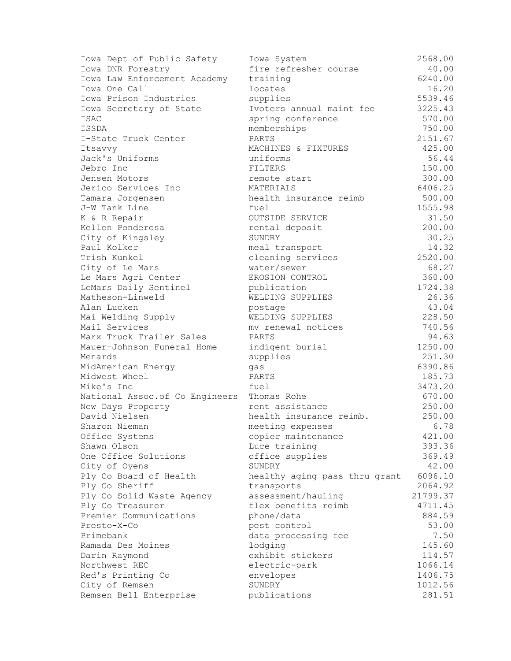| Iowa Dept of Public Safety      | Iowa System                   | 2568.00  |
|---------------------------------|-------------------------------|----------|
| Iowa DNR Forestry               | fire refresher course         | 40.00    |
| Iowa Law Enforcement Academy    | training                      | 6240.00  |
| Iowa One Call                   | locates                       | 16.20    |
| Iowa Prison Industries          | supplies                      | 5539.46  |
| Iowa Secretary of State         | Ivoters annual maint fee      | 3225.43  |
| ISAC                            | spring conference             | 570.00   |
| ISSDA                           | memberships                   | 750.00   |
| I-State Truck Center            | PARTS                         | 2151.67  |
| Itsavvy                         | MACHINES & FIXTURES           | 425.00   |
| Jack's Uniforms                 | uniforms                      | 56.44    |
| Jebro Inc                       | FILTERS                       | 150.00   |
| Jensen Motors                   | remote start                  | 300.00   |
| Jerico Services Inc             | MATERIALS                     | 6406.25  |
| Tamara Jorgensen                | health insurance reimb        | 500.00   |
| J-W Tank Line                   | fuel                          | 1555.98  |
| K & R Repair                    | OUTSIDE SERVICE               | 31.50    |
| Kellen Ponderosa                | rental deposit                | 200.00   |
| City of Kingsley                | SUNDRY                        | 30.25    |
| Paul Kolker                     | meal transport                | 14.32    |
| Trish Kunkel                    | cleaning services             | 2520.00  |
| City of Le Mars                 | water/sewer                   | 68.27    |
| Le Mars Agri Center             | EROSION CONTROL               | 360.00   |
| LeMars Daily Sentinel           | publication                   | 1724.38  |
| Matheson-Linweld                | WELDING SUPPLIES              | 26.36    |
| Alan Lucken                     | postage                       | 43.04    |
| Mai Welding Supply              | WELDING SUPPLIES              | 228.50   |
| Mail Services                   | my renewal notices            | 740.56   |
| Marx Truck Trailer Sales        | PARTS                         | 94.63    |
| Mauer-Johnson Funeral Home      | indigent burial               | 1250.00  |
| Menards                         | supplies                      | 251.30   |
| MidAmerican Energy              | gas                           | 6390.86  |
| Midwest Wheel                   | PARTS                         | 185.73   |
| Mike's Inc                      | fuel                          | 3473.20  |
| National Assoc. of Co Engineers | Thomas Rohe                   | 670.00   |
| New Days Property               | rent assistance               | 250.00   |
| David Nielsen                   | health insurance reimb.       | 250.00   |
| Sharon Nieman                   | meeting expenses              | 6.78     |
| Office Systems                  | copier maintenance            | 421.00   |
| Shawn Olson                     | Luce training                 | 393.36   |
| One Office Solutions            | office supplies               | 369.49   |
| City of Oyens                   | SUNDRY                        | 42.00    |
| Ply Co Board of Health          | healthy aging pass thru grant | 6096.10  |
| Ply Co Sheriff                  | transports                    | 2064.92  |
| Ply Co Solid Waste Agency       | assessment/hauling            | 21799.37 |
| Ply Co Treasurer                | flex benefits reimb           | 4711.45  |
| Premier Communications          | phone/data                    | 884.59   |
| Presto-X-Co                     | pest control                  | 53.00    |
| Primebank                       | data processing fee           | 7.50     |
| Ramada Des Moines               | lodging                       | 145.60   |
| Darin Raymond                   | exhibit stickers              | 114.57   |
| Northwest REC                   | electric-park                 | 1066.14  |
| Red's Printing Co               | envelopes                     | 1406.75  |
| City of Remsen                  | SUNDRY                        | 1012.56  |
| Remsen Bell Enterprise          | publications                  | 281.51   |
|                                 |                               |          |